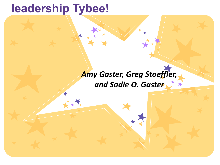### **leadership Tybee!**

### *Amy Gaster, Greg Stoeffler, and Sadie O. Gaster*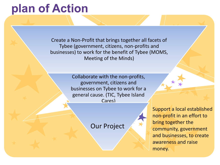## **[plan](http://www.google.com/imgres?imgurl=http://www.textually.org/tv/archives/2010/06/07/facebook-logo.png&imgrefurl=http://www.textually.org/tv/archives/cat_youtube.html&h=256&w=256&sz=23&tbnid=KFICJaE2iv0AvM:&tbnh=111&tbnw=111&prev=/images?q=facebook+logo&zoom=1&usg=__AAzAlipsUgoU6ULLLtFqsm7Q4YM=&sa=X&ei=v612TMSXGMOclged0MDsCw&ved=0CCAQ9QEwAw) of Action**

Create a Non-Profit that brings together all facets of Tybee (government, citizens, non-profits and businesses) to work for the benefit of Tybee (MOMS, Meeting of the Minds)

> Collaborate with the non-profits, government, citizens and businesses on Tybee to work for a general cause. (TIC, Tybee Island Cares)

> > Our Project

Support a local established non-profit in an effort to bring together the community, government and businesses, to create awareness and raise money.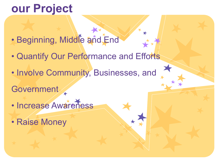## **[our P](http://www.google.com/imgres?imgurl=http://www.textually.org/tv/archives/2010/06/07/facebook-logo.png&imgrefurl=http://www.textually.org/tv/archives/cat_youtube.html&h=256&w=256&sz=23&tbnid=KFICJaE2iv0AvM:&tbnh=111&tbnw=111&prev=/images?q=facebook+logo&zoom=1&usg=__AAzAlipsUgoU6ULLLtFqsm7Q4YM=&sa=X&ei=v612TMSXGMOclged0MDsCw&ved=0CCAQ9QEwAw)roject**

- · Beginning, Middle and End
- Quantify Our Performance and Efforts
- Involve Community, Businesses, and
- **Government**
- Increase Awareness
- Raise Money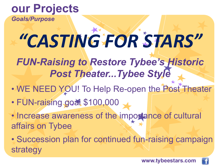### **our Projects**

*Goals/Purpose*

# *"CASTING FOR STARS"*

*FUN-Raising to Restore Tybee's Historic Post Theater...Tybee Style*

- WE NEED YOU! To Help Re-open the Post Theater
- FUN-raising goat \$100,000
- Increase awareness of the importance of cultural affairs on Tybee
- Succession plan for continued fun-raising campaign strategy

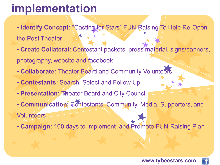# **[imp](http://www.google.com/imgres?imgurl=http://www.textually.org/tv/archives/2010/06/07/facebook-logo.png&imgrefurl=http://www.textually.org/tv/archives/cat_youtube.html&h=256&w=256&sz=23&tbnid=KFICJaE2iv0AvM:&tbnh=111&tbnw=111&prev=/images?q=facebook+logo&zoom=1&usg=__AAzAlipsUgoU6ULLLtFqsm7Q4YM=&sa=X&ei=v612TMSXGMOclged0MDsCw&ved=0CCAQ9QEwAw)lementation**

- **Identify Concept:** "Casting for Stars" FUN-Raising To Help Re-Open
- the Post Theater
- **Create Collateral:** Contestant packets, press material, signs/banners, photography, website and facebook
- **Collaborate:** Theater Board and Community Volunteers
- **Contestants:** Search, Select and Follow Up
- **Presentation:** Theater Board and City Council
- **Communication:** Contestants, Community, Media, Supporters, and Volunteers
- **Campaign:** 100 days to Implement and Promote FUN-Raising Plan

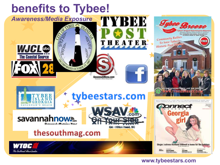

#### **www.tybeestars.com**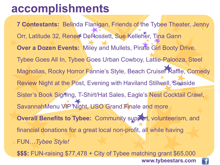## **[acco](http://www.google.com/imgres?imgurl=http://www.textually.org/tv/archives/2010/06/07/facebook-logo.png&imgrefurl=http://www.textually.org/tv/archives/cat_youtube.html&h=256&w=256&sz=23&tbnid=KFICJaE2iv0AvM:&tbnh=111&tbnw=111&prev=/images?q=facebook+logo&zoom=1&usg=__AAzAlipsUgoU6ULLLtFqsm7Q4YM=&sa=X&ei=v612TMSXGMOclged0MDsCw&ved=0CCAQ9QEwAw)mplishments**

**7 Contestants:** Belinda Flanigan, Friends of the Tybee Theater, Jenny Orr, Latitude 32, Renee DeRossett, Sue Kelleher, Tina Gann **Over a Dozen Events:** Miley and Mullets, Pirate Girl Booty Drive, Tybee Goes All In, Tybee Goes Urban Cowboy, Lattie-Palooza, Steel Magnolias, Rocky Horror Fannie's Style, Beach Cruiser Raffle, Comedy Review Night at the Post, Evening with Haviland Stillwell, Seaside Sister's Book Signing, T-Shirt/Hat Sales, Eagle's Nest Cocktail Crawl, SavannahMenu VIP Night, USO Grand Finale and more **Overall Benefits to Tybee:** Community support, volunteerism, and financial donations for a great local non-profit, all while having FUN…*Tybee Style!* **\$\$\$:** FUN-raising \$77,478 + City of Tybee matching grant \$65,000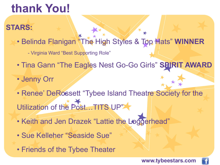# **thank You!**

### **STARS:**

- Belinda Flanigan "The High Styles & Top Hats" **WINNER**
	- Virginia Ward "Best Supporting Role"
- Tina Gann "The Eagles Nest Go-Go Girls" **SPIRIT AWARD**
- Jenny Orr
- Renee' DeRossett "Tybee Island Theatre Society for the Utilization of the Post…TITS UP"
- Keith and Jen Drazek "Lattie the Loggerhead"
- Sue Kelleher "Seaside Sue"
- Friends of the Tybee Theater